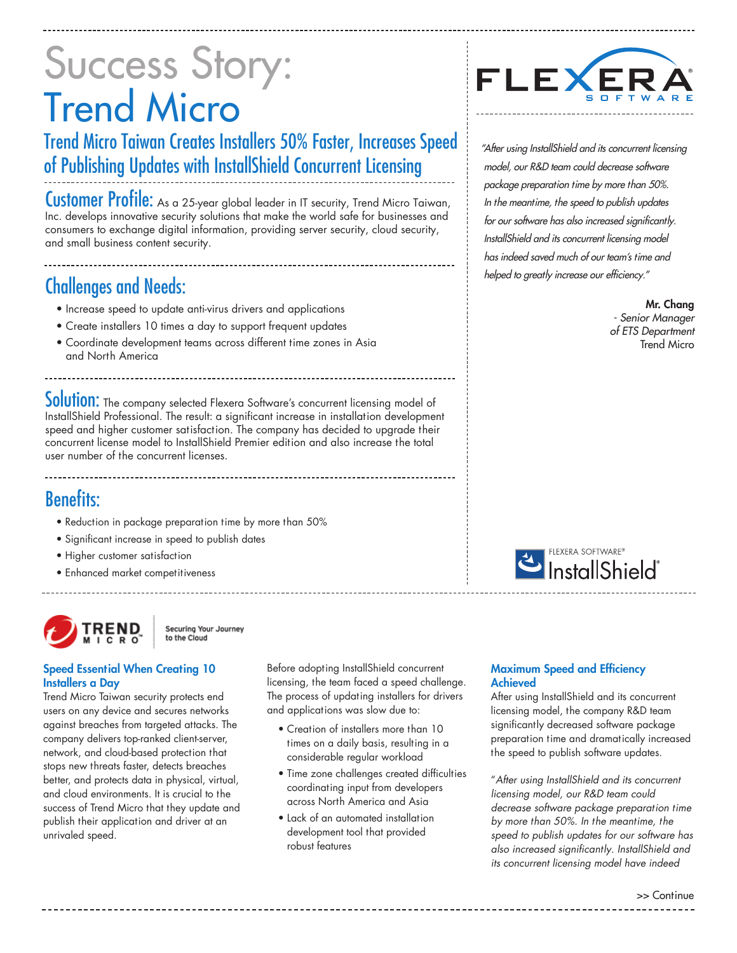# Success Story: Trend Micro

## Trend Micro Taiwan Creates Installers 50% Faster, Increases Speed of Publishing Updates with InstallShield Concurrent Licensing

Customer Profile: As a 25-year global leader in IT security, Trend Micro Taiwan, Inc. develops innovative security solutions that make the world safe for businesses and consumers to exchange digital information, providing server security, cloud security, and small business content security.

## Challenges and Needs:

- Increase speed to update anti-virus drivers and applications
- Create installers 10 times a day to support frequent updates
- Coordinate development teams across different time zones in Asia and North America

Solution: The company selected Flexera Software's concurrent licensing model of InstallShield Professional. The result: a significant increase in installation development speed and higher customer satisfaction. The company has decided to upgrade their concurrent license model to InstallShield Premier edition and also increase the total user number of the concurrent licenses.

### Benefits:

- Reduction in package preparation time by more than 50%
- Significant increase in speed to publish dates
- Higher customer satisfaction
- Enhanced market competitiveness



Securing Your Journey to the Cloud

#### Speed Essential When Creating 10 Installers a Day

Trend Micro Taiwan security protects end users on any device and secures networks against breaches from targeted attacks. The company delivers top-ranked client-server, network, and cloud-based protection that stops new threats faster, detects breaches better, and protects data in physical, virtual, and cloud environments. It is crucial to the success of Trend Micro that they update and publish their application and driver at an unrivaled speed.

Before adopting InstallShield concurrent licensing, the team faced a speed challenge. The process of updating installers for drivers and applications was slow due to:

- Creation of installers more than 10 times on a daily basis, resulting in a considerable regular workload
- Time zone challenges created difficulties coordinating input from developers across North America and Asia
- Lack of an automated installation development tool that provided robust features



"After using InstallShield and its concurrent licensing model, our R&D team could decrease software package preparation time by more than 50%. In the meantime, the speed to publish updates for our software has also increased significantly. InstallShield and its concurrent licensing model has indeed saved much of our team's time and helped to greatly increase our efficiency."

> Mr. Chang - Senior Manager of ETS Department Trend Micro



#### Maximum Speed and Efficiency Achieved

After using InstallShield and its concurrent licensing model, the company R&D team significantly decreased software package preparation time and dramatically increased the speed to publish software updates.

"After using InstallShield and its concurrent licensing model, our R&D team could decrease software package preparation time by more than 50%. In the meantime, the speed to publish updates for our software has also increased significantly. InstallShield and its concurrent licensing model have indeed

>> Continue